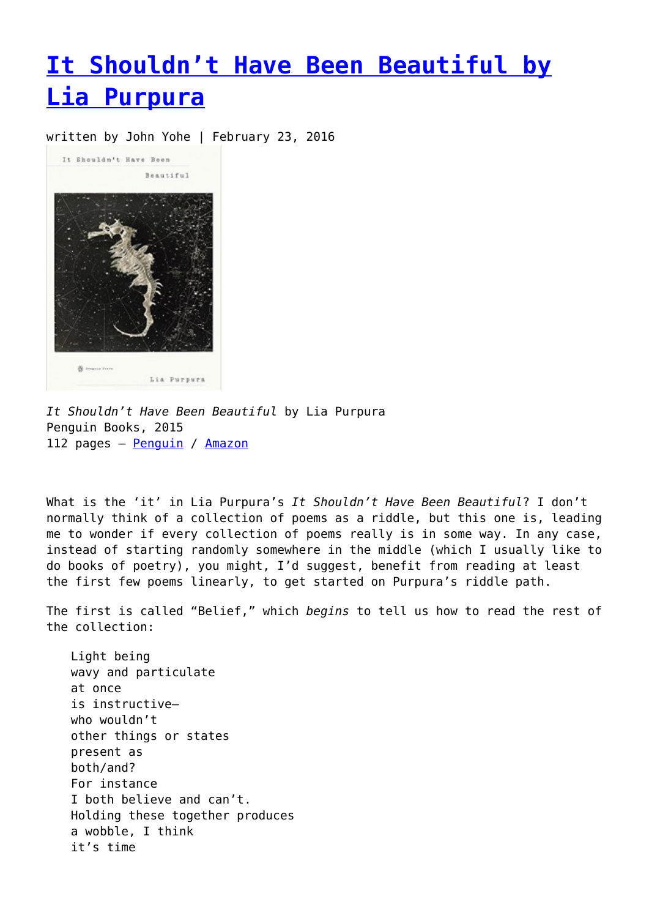## **[It Shouldn't Have Been Beautiful by](https://entropymag.org/it-shouldnt-have-been-beautiful-by-lia-purpura/) [Lia Purpura](https://entropymag.org/it-shouldnt-have-been-beautiful-by-lia-purpura/)**

written by John Yohe | February 23, 2016



*It Shouldn't Have Been Beautiful* by Lia Purpura Penguin Books, 2015 112 pages - [Penguin](http://www.penguin.com/book/it-shouldnt-have-been-beautiful-by-lia-purpura/9780143126904) / [Amazon](http://www.amazon.com/Shouldnt-Have-Beautiful-Poets-Penguin/dp/0143126903/ref=sr_1_1?ie=UTF8&qid=1455297170&sr=8-1&keywords=It+Shouldn’t+Have+Been+Beautiful+by+Lia+Purpura)

What is the 'it' in Lia Purpura's *It Shouldn't Have Been Beautiful*? I don't normally think of a collection of poems as a riddle, but this one is, leading me to wonder if every collection of poems really is in some way. In any case, instead of starting randomly somewhere in the middle (which I usually like to do books of poetry), you might, I'd suggest, benefit from reading at least the first few poems linearly, to get started on Purpura's riddle path.

The first is called "Belief," which *begins* to tell us how to read the rest of the collection:

Light being wavy and particulate at once is instructive who wouldn't other things or states present as both/and? For instance I both believe and can't. Holding these together produces a wobble, I think it's time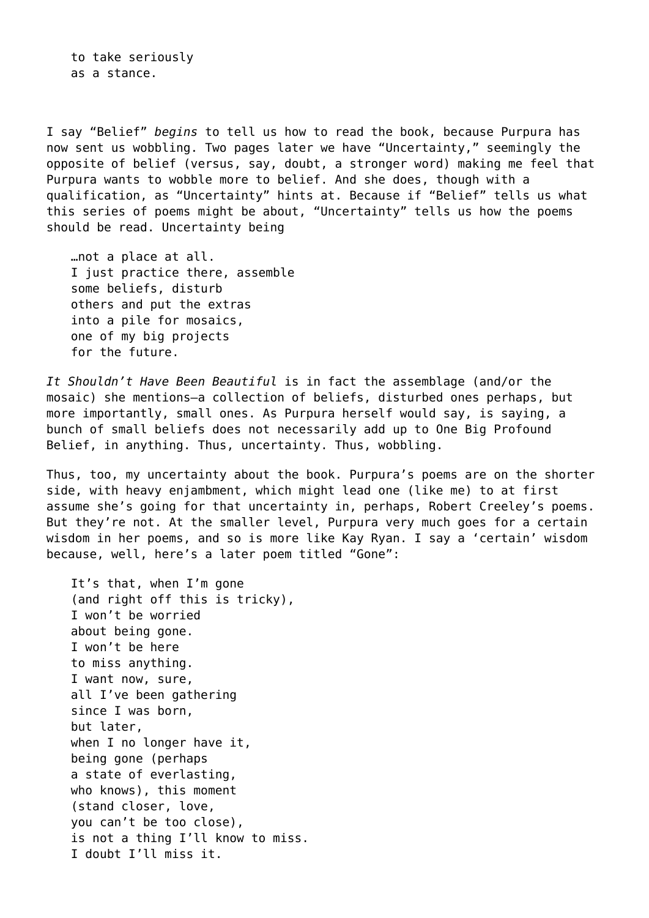to take seriously as a stance.

I say "Belief" *begins* to tell us how to read the book, because Purpura has now sent us wobbling. Two pages later we have "Uncertainty," seemingly the opposite of belief (versus, say, doubt, a stronger word) making me feel that Purpura wants to wobble more to belief. And she does, though with a qualification, as "Uncertainty" hints at. Because if "Belief" tells us what this series of poems might be about, "Uncertainty" tells us how the poems should be read. Uncertainty being

…not a place at all. I just practice there, assemble some beliefs, disturb others and put the extras into a pile for mosaics, one of my big projects for the future.

*It Shouldn't Have Been Beautiful* is in fact the assemblage (and/or the mosaic) she mentions—a collection of beliefs, disturbed ones perhaps, but more importantly, small ones. As Purpura herself would say, is saying, a bunch of small beliefs does not necessarily add up to One Big Profound Belief, in anything. Thus, uncertainty. Thus, wobbling.

Thus, too, my uncertainty about the book. Purpura's poems are on the shorter side, with heavy enjambment, which might lead one (like me) to at first assume she's going for that uncertainty in, perhaps, Robert Creeley's poems. But they're not. At the smaller level, Purpura very much goes for a certain wisdom in her poems, and so is more like Kay Ryan. I say a 'certain' wisdom because, well, here's a later poem titled "Gone":

It's that, when I'm gone (and right off this is tricky), I won't be worried about being gone. I won't be here to miss anything. I want now, sure, all I've been gathering since I was born, but later, when I no longer have it, being gone (perhaps a state of everlasting, who knows), this moment (stand closer, love, you can't be too close), is not a thing I'll know to miss. I doubt I'll miss it.